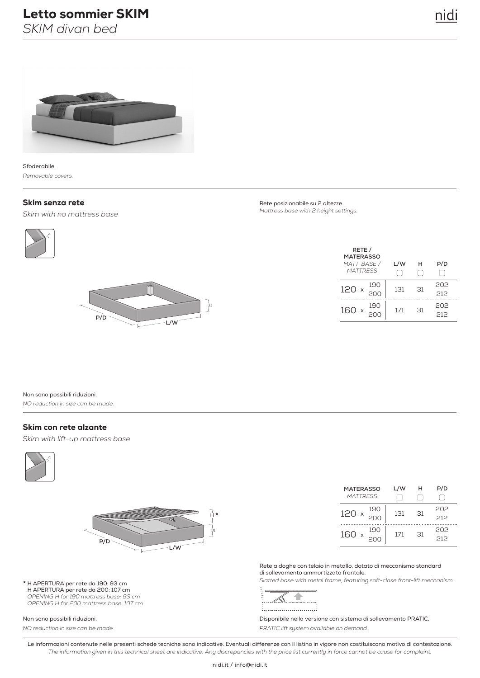# Letto sommier SKIM

*SKIM divan bed*



Sfoderabile. *Removable covers.*

### Skim senza rete

*Skim with no mattress base*





Rete posizionabile su 2 altezze. *Mattress base with 2 height settings.*

| RETE /<br><b>MATERASSO</b><br>MATT. BASE / | L/W | н  | P/D        |
|--------------------------------------------|-----|----|------------|
| <b>MATTRESS</b>                            |     |    |            |
| 190<br>120                                 | 131 | 31 | 202<br>212 |
| 190<br>160 x                               | 171 | 31 | 202<br>212 |

Non sono possibili riduzioni. *NO reduction in size can be made.*

#### Skim con rete alzante

*Skim with lift-up mattress base*





**\*** H APERTURA per rete da 190: 93 cm H APERTURA per rete da 200: 107 cm *OPENING H for 190 mattress base: 93 cm OPENING H for 200 mattress base: 107 cm*

#### Non sono possibili riduzioni.

*NO reduction in size can be made.*

| <b>MATERASSO</b><br><b>MATTRESS</b> | L/W | н            | P/D        |
|-------------------------------------|-----|--------------|------------|
| 190<br>120                          | 131 | $\mathsf{R}$ | 202<br>212 |
| 190<br>160 x                        | 171 | $\mathsf{R}$ | 202<br>212 |

Rete a doghe con telaio in metallo, dotato di meccanismo standard di sollevamento ammortizzato frontale.

*Slatted base with metal frame, featuring soft-close front-lift mechanism.*



Disponibile nella versione con sistema di sollevamento PRATIC. *PRATIC lift system available on demand.*

Le informazioni contenute nelle presenti schede tecniche sono indicative. Eventuali differenze con il listino in vigore non costituiscono motivo di contestazione. *The information given in this technical sheet are indicative. Any discrepancies with the price list currently in force cannot be cause for complaint.*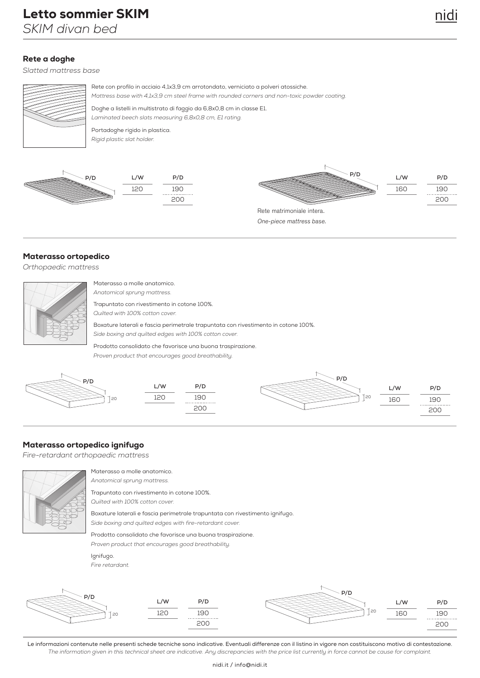# Rete a doghe

*Slatted mattress base*



Rete con profilo in acciaio 4,1x3,9 cm arrotondato, verniciato a polveri atossiche. Doghe a listelli in multistrato di faggio da 6,8x0,8 cm in classe E1. *Mattress base with 4,1x3,9 cm steel frame with rounded corners and non-toxic powder coating.* 

*Laminated beech slats measuring 6,8x0,8 cm, E1 rating.*

Portadoghe rigido in plastica. *Rigid plastic slat holder.*







Materasso ortopedico

*Orthopaedic mattress*

| N           |
|-------------|
| $\triangle$ |
| Τ           |
| Ć           |
| E           |
| S           |
|             |

Materasso a molle anatomico. *Anatomical sprung mattress.*

rapuntato con rivestimento in cotone 100%.

*Quilted with 100% cotton cover.*

Boxature laterali e fascia perimetrale trapuntata con rivestimento in cotone 100%. *Side boxing and quilted edges with 100% cotton cover.*

Prodotto consolidato che favorisce una buona traspirazione. *Proven product that encourages good breathability.*



## Materasso ortopedico ignifugo

*Fire-retardant orthopaedic mattress*



Materasso a molle anatomico. *Anatomical sprung mattress.*

Trapuntato con rivestimento in cotone 100%. *Quilted with 100% cotton cover.*

Boxature laterali e fascia perimetrale trapuntata con rivestimento ignifugo. *Side boxing and quilted edges with fire-retardant cover.*

Prodotto consolidato che favorisce una buona traspirazione.

*Proven product that encourages good breathability.*

Ignifugo.





Le informazioni contenute nelle presenti schede tecniche sono indicative. Eventuali differenze con il listino in vigore non costituiscono motivo di contestazione. *The information given in this technical sheet are indicative. Any discrepancies with the price list currently in force cannot be cause for complaint.*